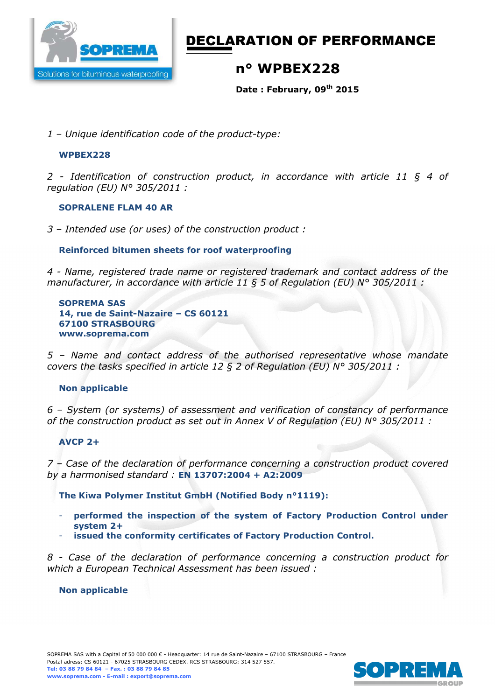

# DECLARATION OF PERFORMANCE

## **n° WPBEX228**

**Date : February, 09th 2015** 

*1 – Unique identification code of the product-type:*

## **WPBEX228**

*2 - Identification of construction product, in accordance with article 11 § 4 of regulation (EU) N° 305/2011 :* 

#### **SOPRALENE FLAM 40 AR**

*3 – Intended use (or uses) of the construction product :* 

## **Reinforced bitumen sheets for roof waterproofing**

*4 - Name, registered trade name or registered trademark and contact address of the manufacturer, in accordance with article 11 § 5 of Regulation (EU) N° 305/2011 :* 

**SOPREMA SAS 14, rue de Saint-Nazaire – CS 60121 67100 STRASBOURG www.soprema.com** 

*5 – Name and contact address of the authorised representative whose mandate covers the tasks specified in article 12 § 2 of Regulation (EU) N° 305/2011 :* 

## **Non applicable**

*6 – System (or systems) of assessment and verification of constancy of performance of the construction product as set out in Annex V of Regulation (EU) N° 305/2011 :* 

#### **AVCP 2+**

*7 – Case of the declaration of performance concerning a construction product covered by a harmonised standard :* **EN 13707:2004 + A2:2009** 

**The Kiwa Polymer Institut GmbH (Notified Body n°1119):** 

- **performed the inspection of the system of Factory Production Control under system 2+**
- **issued the conformity certificates of Factory Production Control.**

*8 - Case of the declaration of performance concerning a construction product for which a European Technical Assessment has been issued :* 

#### **Non applicable**